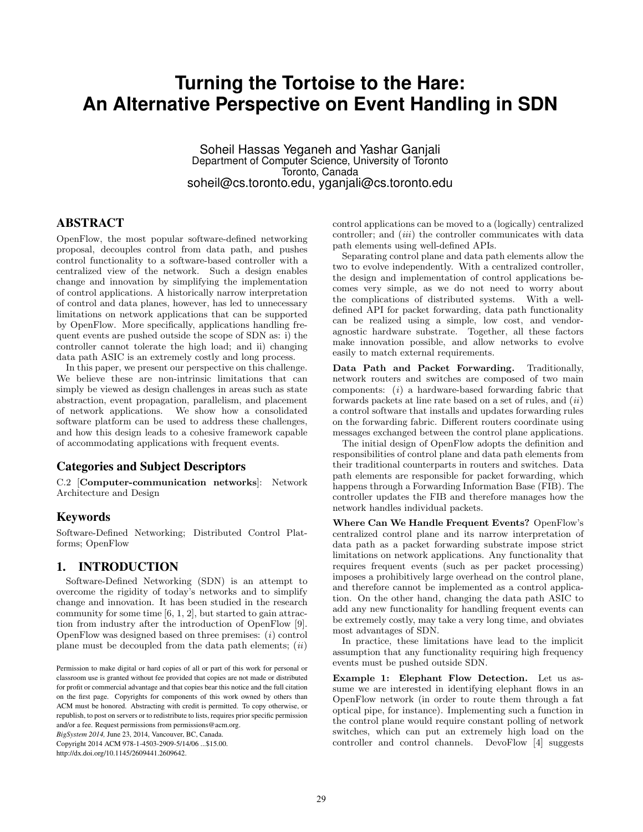# **Turning the Tortoise to the Hare: An Alternative Perspective on Event Handling in SDN**

Soheil Hassas Yeganeh and Yashar Ganjali Department of Computer Science, University of Toronto Toronto, Canada soheil@cs.toronto.edu, yganjali@cs.toronto.edu

# ABSTRACT

OpenFlow, the most popular software-defined networking proposal, decouples control from data path, and pushes control functionality to a software-based controller with a centralized view of the network. Such a design enables change and innovation by simplifying the implementation of control applications. A historically narrow interpretation of control and data planes, however, has led to unnecessary limitations on network applications that can be supported by OpenFlow. More specifically, applications handling frequent events are pushed outside the scope of SDN as: i) the controller cannot tolerate the high load; and ii) changing data path ASIC is an extremely costly and long process.

In this paper, we present our perspective on this challenge. We believe these are non-intrinsic limitations that can simply be viewed as design challenges in areas such as state abstraction, event propagation, parallelism, and placement of network applications. We show how a consolidated software platform can be used to address these challenges, and how this design leads to a cohesive framework capable of accommodating applications with frequent events.

### Categories and Subject Descriptors

C.2 [Computer-communication networks]: Network Architecture and Design

# Keywords

Software-Defined Networking; Distributed Control Platforms; OpenFlow

### 1. INTRODUCTION

Software-Defined Networking (SDN) is an attempt to overcome the rigidity of today's networks and to simplify change and innovation. It has been studied in the research community for some time [\[6,](#page-3-0) [1,](#page-3-1) [2\]](#page-3-2), but started to gain attraction from industry after the introduction of OpenFlow [\[9\]](#page-3-3). OpenFlow was designed based on three premises:  $(i)$  control plane must be decoupled from the data path elements;  $(ii)$ 

*BigSystem 2014,* June 23, 2014, Vancouver, BC, Canada. Copyright 2014 ACM 978-1-4503-2909-5/14/06 ...\$15.00.

http://dx.doi.org/10.1145/2609441.2609642.

control applications can be moved to a (logically) centralized controller; and *(iii)* the controller communicates with data path elements using well-defined APIs.

Separating control plane and data path elements allow the two to evolve independently. With a centralized controller, the design and implementation of control applications becomes very simple, as we do not need to worry about the complications of distributed systems. With a welldefined API for packet forwarding, data path functionality can be realized using a simple, low cost, and vendoragnostic hardware substrate. Together, all these factors make innovation possible, and allow networks to evolve easily to match external requirements.

Data Path and Packet Forwarding. Traditionally, network routers and switches are composed of two main components: (i) a hardware-based forwarding fabric that forwards packets at line rate based on a set of rules, and  $(ii)$ a control software that installs and updates forwarding rules on the forwarding fabric. Different routers coordinate using messages exchanged between the control plane applications.

The initial design of OpenFlow adopts the definition and responsibilities of control plane and data path elements from their traditional counterparts in routers and switches. Data path elements are responsible for packet forwarding, which happens through a Forwarding Information Base (FIB). The controller updates the FIB and therefore manages how the network handles individual packets.

Where Can We Handle Frequent Events? OpenFlow's centralized control plane and its narrow interpretation of data path as a packet forwarding substrate impose strict limitations on network applications. Any functionality that requires frequent events (such as per packet processing) imposes a prohibitively large overhead on the control plane, and therefore cannot be implemented as a control application. On the other hand, changing the data path ASIC to add any new functionality for handling frequent events can be extremely costly, may take a very long time, and obviates most advantages of SDN.

In practice, these limitations have lead to the implicit assumption that any functionality requiring high frequency events must be pushed outside SDN.

Example 1: Elephant Flow Detection. Let us assume we are interested in identifying elephant flows in an OpenFlow network (in order to route them through a fat optical pipe, for instance). Implementing such a function in the control plane would require constant polling of network switches, which can put an extremely high load on the controller and control channels. DevoFlow [\[4\]](#page-3-4) suggests

Permission to make digital or hard copies of all or part of this work for personal or classroom use is granted without fee provided that copies are not made or distributed for profit or commercial advantage and that copies bear this notice and the full citation on the first page. Copyrights for components of this work owned by others than ACM must be honored. Abstracting with credit is permitted. To copy otherwise, or republish, to post on servers or to redistribute to lists, requires prior specific permission and/or a fee. Request permissions from permissions@acm.org.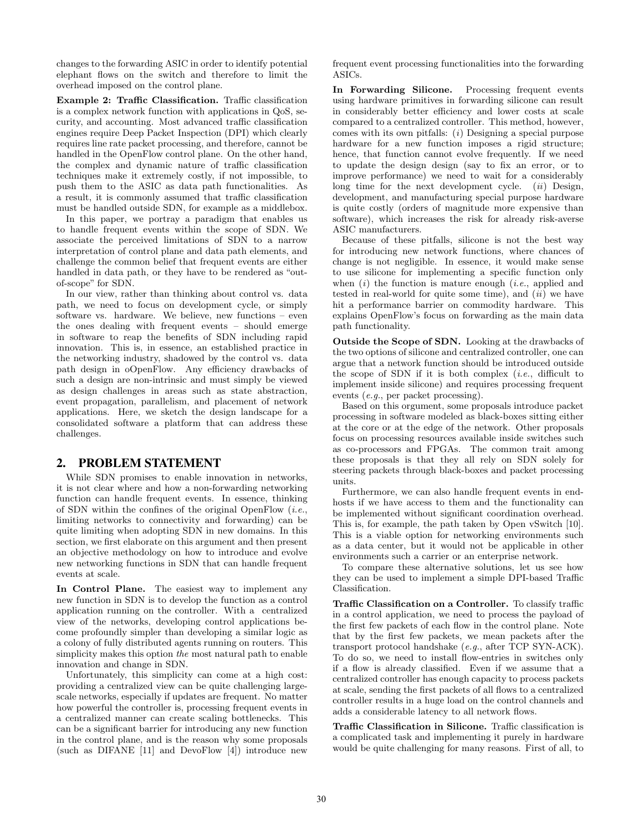changes to the forwarding ASIC in order to identify potential elephant flows on the switch and therefore to limit the overhead imposed on the control plane.

Example 2: Traffic Classification. Traffic classification is a complex network function with applications in QoS, security, and accounting. Most advanced traffic classification engines require Deep Packet Inspection (DPI) which clearly requires line rate packet processing, and therefore, cannot be handled in the OpenFlow control plane. On the other hand, the complex and dynamic nature of traffic classification techniques make it extremely costly, if not impossible, to push them to the ASIC as data path functionalities. As a result, it is commonly assumed that traffic classification must be handled outside SDN, for example as a middlebox.

In this paper, we portray a paradigm that enables us to handle frequent events within the scope of SDN. We associate the perceived limitations of SDN to a narrow interpretation of control plane and data path elements, and challenge the common belief that frequent events are either handled in data path, or they have to be rendered as "outof-scope" for SDN.

In our view, rather than thinking about control vs. data path, we need to focus on development cycle, or simply software vs. hardware. We believe, new functions – even the ones dealing with frequent events – should emerge in software to reap the benefits of SDN including rapid innovation. This is, in essence, an established practice in the networking industry, shadowed by the control vs. data path design in oOpenFlow. Any efficiency drawbacks of such a design are non-intrinsic and must simply be viewed as design challenges in areas such as state abstraction, event propagation, parallelism, and placement of network applications. Here, we sketch the design landscape for a consolidated software a platform that can address these challenges.

## 2. PROBLEM STATEMENT

While SDN promises to enable innovation in networks, it is not clear where and how a non-forwarding networking function can handle frequent events. In essence, thinking of SDN within the confines of the original OpenFlow  $(i.e.,$ limiting networks to connectivity and forwarding) can be quite limiting when adopting SDN in new domains. In this section, we first elaborate on this argument and then present an objective methodology on how to introduce and evolve new networking functions in SDN that can handle frequent events at scale.

In Control Plane. The easiest way to implement any new function in SDN is to develop the function as a control application running on the controller. With a centralized view of the networks, developing control applications become profoundly simpler than developing a similar logic as a colony of fully distributed agents running on routers. This simplicity makes this option the most natural path to enable innovation and change in SDN.

Unfortunately, this simplicity can come at a high cost: providing a centralized view can be quite challenging largescale networks, especially if updates are frequent. No matter how powerful the controller is, processing frequent events in a centralized manner can create scaling bottlenecks. This can be a significant barrier for introducing any new function in the control plane, and is the reason why some proposals (such as DIFANE [\[11\]](#page-3-5) and DevoFlow [\[4\]](#page-3-4)) introduce new

frequent event processing functionalities into the forwarding ASICs.

In Forwarding Silicone. Processing frequent events using hardware primitives in forwarding silicone can result in considerably better efficiency and lower costs at scale compared to a centralized controller. This method, however, comes with its own pitfalls: (i) Designing a special purpose hardware for a new function imposes a rigid structure; hence, that function cannot evolve frequently. If we need to update the design design (say to fix an error, or to improve performance) we need to wait for a considerably long time for the next development cycle. (ii) Design, development, and manufacturing special purpose hardware is quite costly (orders of magnitude more expensive than software), which increases the risk for already risk-averse ASIC manufacturers.

Because of these pitfalls, silicone is not the best way for introducing new network functions, where chances of change is not negligible. In essence, it would make sense to use silicone for implementing a specific function only when  $(i)$  the function is mature enough  $(i.e.,$  applied and tested in real-world for quite some time), and  $(ii)$  we have hit a performance barrier on commodity hardware. This explains OpenFlow's focus on forwarding as the main data path functionality.

Outside the Scope of SDN. Looking at the drawbacks of the two options of silicone and centralized controller, one can argue that a network function should be introduced outside the scope of SDN if it is both complex  $(i.e.,$  difficult to implement inside silicone) and requires processing frequent events (e.g., per packet processing).

Based on this orgument, some proposals introduce packet processing in software modeled as black-boxes sitting either at the core or at the edge of the network. Other proposals focus on processing resources available inside switches such as co-processors and FPGAs. The common trait among these proposals is that they all rely on SDN solely for steering packets through black-boxes and packet processing units.

Furthermore, we can also handle frequent events in endhosts if we have access to them and the functionality can be implemented without significant coordination overhead. This is, for example, the path taken by Open vSwitch [\[10\]](#page-3-6). This is a viable option for networking environments such as a data center, but it would not be applicable in other environments such a carrier or an enterprise network.

To compare these alternative solutions, let us see how they can be used to implement a simple DPI-based Traffic Classification.

Traffic Classification on a Controller. To classify traffic in a control application, we need to process the payload of the first few packets of each flow in the control plane. Note that by the first few packets, we mean packets after the transport protocol handshake (e.g., after TCP SYN-ACK). To do so, we need to install flow-entries in switches only if a flow is already classified. Even if we assume that a centralized controller has enough capacity to process packets at scale, sending the first packets of all flows to a centralized controller results in a huge load on the control channels and adds a considerable latency to all network flows.

Traffic Classification in Silicone. Traffic classification is a complicated task and implementing it purely in hardware would be quite challenging for many reasons. First of all, to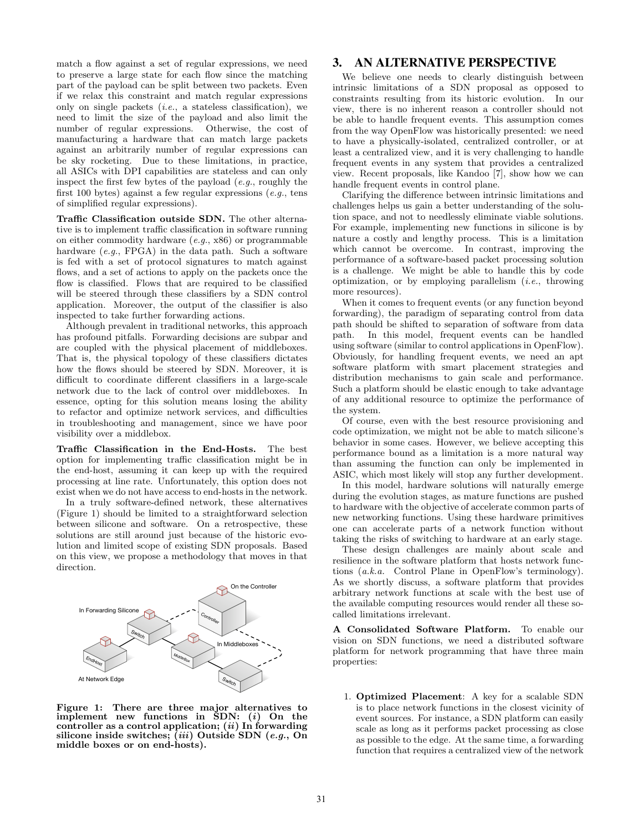match a flow against a set of regular expressions, we need to preserve a large state for each flow since the matching part of the payload can be split between two packets. Even if we relax this constraint and match regular expressions only on single packets  $(i.e., a states)$  stateless classification), we need to limit the size of the payload and also limit the number of regular expressions. Otherwise, the cost of manufacturing a hardware that can match large packets against an arbitrarily number of regular expressions can be sky rocketing. Due to these limitations, in practice, all ASICs with DPI capabilities are stateless and can only inspect the first few bytes of the payload  $(e.g.,$  roughly the first 100 bytes) against a few regular expressions  $(e.g.,$  tens of simplified regular expressions).

Traffic Classification outside SDN. The other alternative is to implement traffic classification in software running on either commodity hardware (e.g., x86) or programmable hardware (e.g., FPGA) in the data path. Such a software is fed with a set of protocol signatures to match against flows, and a set of actions to apply on the packets once the flow is classified. Flows that are required to be classified will be steered through these classifiers by a SDN control application. Moreover, the output of the classifier is also inspected to take further forwarding actions.

Although prevalent in traditional networks, this approach has profound pitfalls. Forwarding decisions are subpar and are coupled with the physical placement of middleboxes. That is, the physical topology of these classifiers dictates how the flows should be steered by SDN. Moreover, it is difficult to coordinate different classifiers in a large-scale network due to the lack of control over middleboxes. In essence, opting for this solution means losing the ability to refactor and optimize network services, and difficulties in troubleshooting and management, since we have poor visibility over a middlebox.

Traffic Classification in the End-Hosts. The best option for implementing traffic classification might be in the end-host, assuming it can keep up with the required processing at line rate. Unfortunately, this option does not exist when we do not have access to end-hosts in the network.

In a truly software-defined network, these alternatives (Figure [1\)](#page-2-0) should be limited to a straightforward selection between silicone and software. On a retrospective, these solutions are still around just because of the historic evolution and limited scope of existing SDN proposals. Based on this view, we propose a methodology that moves in that direction.

<span id="page-2-0"></span>

Figure 1: There are three major alternatives to implement new functions in  $SDN: (i)$  On the controller as a control application;  $(ii)$  In forwarding silicone inside switches;  $(iii)$  Outside SDN  $(e.g.,$  On middle boxes or on end-hosts).

### 3. AN ALTERNATIVE PERSPECTIVE

We believe one needs to clearly distinguish between intrinsic limitations of a SDN proposal as opposed to constraints resulting from its historic evolution. In our view, there is no inherent reason a controller should not be able to handle frequent events. This assumption comes from the way OpenFlow was historically presented: we need to have a physically-isolated, centralized controller, or at least a centralized view, and it is very challenging to handle frequent events in any system that provides a centralized view. Recent proposals, like Kandoo [\[7\]](#page-3-7), show how we can handle frequent events in control plane.

Clarifying the difference between intrinsic limitations and challenges helps us gain a better understanding of the solution space, and not to needlessly eliminate viable solutions. For example, implementing new functions in silicone is by nature a costly and lengthy process. This is a limitation which cannot be overcome. In contrast, improving the performance of a software-based packet processing solution is a challenge. We might be able to handle this by code optimization, or by employing parallelism  $(i.e.,$  throwing more resources).

When it comes to frequent events (or any function beyond forwarding), the paradigm of separating control from data path should be shifted to separation of software from data path. In this model, frequent events can be handled using software (similar to control applications in OpenFlow). Obviously, for handling frequent events, we need an apt software platform with smart placement strategies and distribution mechanisms to gain scale and performance. Such a platform should be elastic enough to take advantage of any additional resource to optimize the performance of the system.

Of course, even with the best resource provisioning and code optimization, we might not be able to match silicone's behavior in some cases. However, we believe accepting this performance bound as a limitation is a more natural way than assuming the function can only be implemented in ASIC, which most likely will stop any further development.

In this model, hardware solutions will naturally emerge during the evolution stages, as mature functions are pushed to hardware with the objective of accelerate common parts of new networking functions. Using these hardware primitives one can accelerate parts of a network function without taking the risks of switching to hardware at an early stage.

These design challenges are mainly about scale and resilience in the software platform that hosts network functions (a.k.a. Control Plane in OpenFlow's terminology). As we shortly discuss, a software platform that provides arbitrary network functions at scale with the best use of the available computing resources would render all these socalled limitations irrelevant.

A Consolidated Software Platform. To enable our vision on SDN functions, we need a distributed software platform for network programming that have three main properties:

1. Optimized Placement: A key for a scalable SDN is to place network functions in the closest vicinity of event sources. For instance, a SDN platform can easily scale as long as it performs packet processing as close as possible to the edge. At the same time, a forwarding function that requires a centralized view of the network